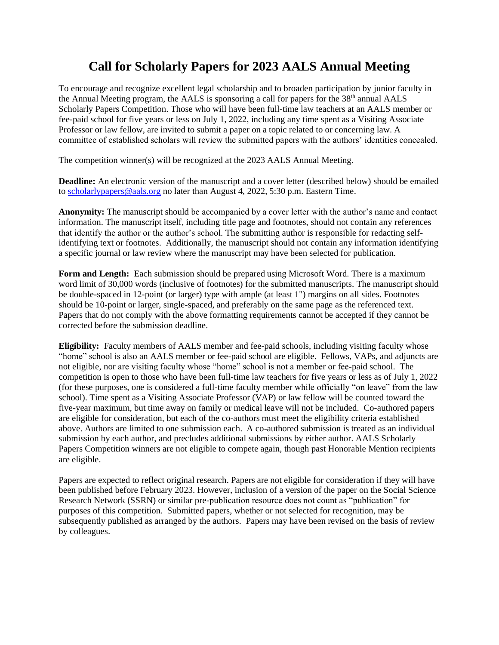## **Call for Scholarly Papers for 2023 AALS Annual Meeting**

To encourage and recognize excellent legal scholarship and to broaden participation by junior faculty in the Annual Meeting program, the AALS is sponsoring a call for papers for the 38<sup>th</sup> annual AALS Scholarly Papers Competition. Those who will have been full-time law teachers at an AALS member or fee-paid school for five years or less on July 1, 2022, including any time spent as a Visiting Associate Professor or law fellow, are invited to submit a paper on a topic related to or concerning law. A committee of established scholars will review the submitted papers with the authors' identities concealed.

The competition winner(s) will be recognized at the 2023 AALS Annual Meeting.

**Deadline:** An electronic version of the manuscript and a cover letter (described below) should be emailed to [scholarlypapers@aals.org](mailto:scholarlypapers@aals.org) no later than August 4, 2022, 5:30 p.m. Eastern Time.

**Anonymity:** The manuscript should be accompanied by a cover letter with the author's name and contact information. The manuscript itself, including title page and footnotes, should not contain any references that identify the author or the author's school. The submitting author is responsible for redacting selfidentifying text or footnotes. Additionally, the manuscript should not contain any information identifying a specific journal or law review where the manuscript may have been selected for publication.

**Form and Length:** Each submission should be prepared using Microsoft Word. There is a maximum word limit of 30,000 words (inclusive of footnotes) for the submitted manuscripts. The manuscript should be double-spaced in 12-point (or larger) type with ample (at least 1") margins on all sides. Footnotes should be 10-point or larger, single-spaced, and preferably on the same page as the referenced text. Papers that do not comply with the above formatting requirements cannot be accepted if they cannot be corrected before the submission deadline.

**Eligibility:** Faculty members of AALS member and fee-paid schools, including visiting faculty whose "home" school is also an AALS member or fee-paid school are eligible. Fellows, VAPs, and adjuncts are not eligible, nor are visiting faculty whose "home" school is not a member or fee-paid school. The competition is open to those who have been full-time law teachers for five years or less as of July 1, 2022 (for these purposes, one is considered a full-time faculty member while officially "on leave" from the law school). Time spent as a Visiting Associate Professor (VAP) or law fellow will be counted toward the five-year maximum, but time away on family or medical leave will not be included. Co-authored papers are eligible for consideration, but each of the co-authors must meet the eligibility criteria established above. Authors are limited to one submission each. A co-authored submission is treated as an individual submission by each author, and precludes additional submissions by either author. AALS Scholarly Papers Competition winners are not eligible to compete again, though past Honorable Mention recipients are eligible.

Papers are expected to reflect original research. Papers are not eligible for consideration if they will have been published before February 2023. However, inclusion of a version of the paper on the Social Science Research Network (SSRN) or similar pre-publication resource does not count as "publication" for purposes of this competition. Submitted papers, whether or not selected for recognition, may be subsequently published as arranged by the authors. Papers may have been revised on the basis of review by colleagues.